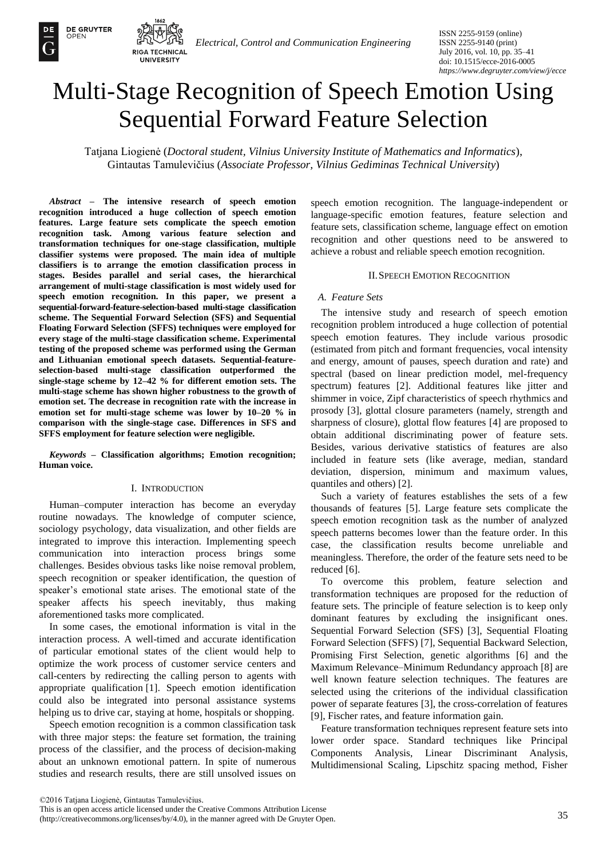



*Electrical, Control and Communication Engineering*

ISSN 2255-9159 (online) ISSN 2255-9140 (print) July 2016, vol. 10, pp. 35–41 doi: 10.1515/ecce-2016-0005 *https://www.degruyter.com/view/j/ecce*

# Multi-Stage Recognition of Speech Emotion Using Sequential Forward Feature Selection

Tatjana Liogienė (*Doctoral student, Vilnius University Institute of Mathematics and Informatics*), Gintautas Tamulevičius (*Associate Professor, Vilnius Gediminas Technical University*)

*Abstract –* **The intensive research of speech emotion recognition introduced a huge collection of speech emotion features. Large feature sets complicate the speech emotion recognition task. Among various feature selection and transformation techniques for one-stage classification, multiple classifier systems were proposed. The main idea of multiple classifiers is to arrange the emotion classification process in stages. Besides parallel and serial cases, the hierarchical arrangement of multi-stage classification is most widely used for speech emotion recognition. In this paper, we present a sequential-forward-feature-selection-based multi-stage classification scheme. The Sequential Forward Selection (SFS) and Sequential Floating Forward Selection (SFFS) techniques were employed for every stage of the multi-stage classification scheme. Experimental testing of the proposed scheme was performed using the German and Lithuanian emotional speech datasets. Sequential-featureselection-based multi-stage classification outperformed the single-stage scheme by 12–42 % for different emotion sets. The multi-stage scheme has shown higher robustness to the growth of emotion set. The decrease in recognition rate with the increase in emotion set for multi-stage scheme was lower by 10–20 % in comparison with the single-stage case. Differences in SFS and SFFS employment for feature selection were negligible.**

*Keywords* **– Classification algorithms; Emotion recognition; Human voice.**

### I. INTRODUCTION

Human–computer interaction has become an everyday routine nowadays. The knowledge of computer science, sociology psychology, data visualization, and other fields are integrated to improve this interaction. Implementing speech communication into interaction process brings some challenges. Besides obvious tasks like noise removal problem, speech recognition or speaker identification, the question of speaker's emotional state arises. The emotional state of the speaker affects his speech inevitably, thus making aforementioned tasks more complicated.

In some cases, the emotional information is vital in the interaction process. A well-timed and accurate identification of particular emotional states of the client would help to optimize the work process of customer service centers and call-centers by redirecting the calling person to agents with appropriate qualification [1]. Speech emotion identification could also be integrated into personal assistance systems helping us to drive car, staying at home, hospitals or shopping.

Speech emotion recognition is a common classification task with three major steps: the feature set formation, the training process of the classifier, and the process of decision-making about an unknown emotional pattern. In spite of numerous studies and research results, there are still unsolved issues on speech emotion recognition. The language-independent or language-specific emotion features, feature selection and feature sets, classification scheme, language effect on emotion recognition and other questions need to be answered to achieve a robust and reliable speech emotion recognition.

# II.SPEECH EMOTION RECOGNITION

#### *A. Feature Sets*

The intensive study and research of speech emotion recognition problem introduced a huge collection of potential speech emotion features. They include various prosodic (estimated from pitch and formant frequencies, vocal intensity and energy, amount of pauses, speech duration and rate) and spectral (based on linear prediction model, mel-frequency spectrum) features [2]. Additional features like jitter and shimmer in voice, Zipf characteristics of speech rhythmics and prosody [3], glottal closure parameters (namely, strength and sharpness of closure), glottal flow features [4] are proposed to obtain additional discriminating power of feature sets. Besides, various derivative statistics of features are also included in feature sets (like average, median, standard deviation, dispersion, minimum and maximum values, quantiles and others) [2].

Such a variety of features establishes the sets of a few thousands of features [5]. Large feature sets complicate the speech emotion recognition task as the number of analyzed speech patterns becomes lower than the feature order. In this case, the classification results become unreliable and meaningless. Therefore, the order of the feature sets need to be reduced [6].

To overcome this problem, feature selection and transformation techniques are proposed for the reduction of feature sets. The principle of feature selection is to keep only dominant features by excluding the insignificant ones. Sequential Forward Selection (SFS) [3], Sequential Floating Forward Selection (SFFS) [7], Sequential Backward Selection, Promising First Selection, genetic algorithms [6] and the Maximum Relevance–Minimum Redundancy approach [8] are well known feature selection techniques. The features are selected using the criterions of the individual classification power of separate features [3], the cross-correlation of features [9], Fischer rates, and feature information gain.

Feature transformation techniques represent feature sets into lower order space. Standard techniques like Principal Components Analysis, Linear Discriminant Analysis, Multidimensional Scaling, Lipschitz spacing method, Fisher

©2016 Tatjana Liogienė, Gintautas Tamulevičius.

This is an open access article licensed under the Creative Commons Attribution License

(http://creativecommons.org/licenses/by/4.0), in the manner agreed with De Gruyter Open.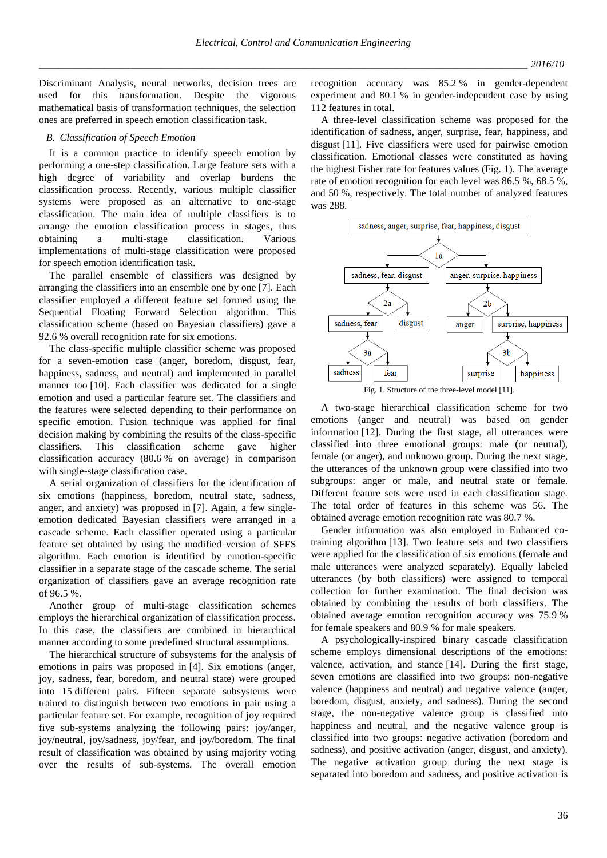Discriminant Analysis, neural networks, decision trees are used for this transformation. Despite the vigorous mathematical basis of transformation techniques, the selection ones are preferred in speech emotion classification task.

#### *B. Classification of Speech Emotion*

It is a common practice to identify speech emotion by performing a one-step classification. Large feature sets with a high degree of variability and overlap burdens the classification process. Recently, various multiple classifier systems were proposed as an alternative to one-stage classification. The main idea of multiple classifiers is to arrange the emotion classification process in stages, thus obtaining a multi-stage classification. Various implementations of multi-stage classification were proposed for speech emotion identification task.

The parallel ensemble of classifiers was designed by arranging the classifiers into an ensemble one by one [7]. Each classifier employed a different feature set formed using the Sequential Floating Forward Selection algorithm. This classification scheme (based on Bayesian classifiers) gave a 92.6 % overall recognition rate for six emotions.

The class-specific multiple classifier scheme was proposed for a seven-emotion case (anger, boredom, disgust, fear, happiness, sadness, and neutral) and implemented in parallel manner too [10]. Each classifier was dedicated for a single emotion and used a particular feature set. The classifiers and the features were selected depending to their performance on specific emotion. Fusion technique was applied for final decision making by combining the results of the class-specific classifiers. This classification scheme gave higher classification accuracy (80.6 % on average) in comparison with single-stage classification case.

A serial organization of classifiers for the identification of six emotions (happiness, boredom, neutral state, sadness, anger, and anxiety) was proposed in [7]. Again, a few singleemotion dedicated Bayesian classifiers were arranged in a cascade scheme. Each classifier operated using a particular feature set obtained by using the modified version of SFFS algorithm. Each emotion is identified by emotion-specific classifier in a separate stage of the cascade scheme. The serial organization of classifiers gave an average recognition rate of 96.5 %.

Another group of multi-stage classification schemes employs the hierarchical organization of classification process. In this case, the classifiers are combined in hierarchical manner according to some predefined structural assumptions.

The hierarchical structure of subsystems for the analysis of emotions in pairs was proposed in [4]. Six emotions (anger, joy, sadness, fear, boredom, and neutral state) were grouped into 15 different pairs. Fifteen separate subsystems were trained to distinguish between two emotions in pair using a particular feature set. For example, recognition of joy required five sub-systems analyzing the following pairs: joy/anger, joy/neutral, joy/sadness, joy/fear, and joy/boredom. The final result of classification was obtained by using majority voting over the results of sub-systems. The overall emotion recognition accuracy was 85.2 % in gender-dependent experiment and 80.1 % in gender-independent case by using 112 features in total.

A three-level classification scheme was proposed for the identification of sadness, anger, surprise, fear, happiness, and disgust [11]. Five classifiers were used for pairwise emotion classification. Emotional classes were constituted as having the highest Fisher rate for features values (Fig. 1). The average rate of emotion recognition for each level was 86.5 %, 68.5 %, and 50 %, respectively. The total number of analyzed features was 288.



A two-stage hierarchical classification scheme for two emotions (anger and neutral) was based on gender information [12]. During the first stage, all utterances were classified into three emotional groups: male (or neutral), female (or anger), and unknown group. During the next stage, the utterances of the unknown group were classified into two subgroups: anger or male, and neutral state or female. Different feature sets were used in each classification stage. The total order of features in this scheme was 56. The obtained average emotion recognition rate was 80.7 %.

Gender information was also employed in Enhanced cotraining algorithm [13]. Two feature sets and two classifiers were applied for the classification of six emotions (female and male utterances were analyzed separately). Equally labeled utterances (by both classifiers) were assigned to temporal collection for further examination. The final decision was obtained by combining the results of both classifiers. The obtained average emotion recognition accuracy was 75.9 % for female speakers and 80.9 % for male speakers.

A psychologically-inspired binary cascade classification scheme employs dimensional descriptions of the emotions: valence, activation, and stance [14]. During the first stage, seven emotions are classified into two groups: non-negative valence (happiness and neutral) and negative valence (anger, boredom, disgust, anxiety, and sadness). During the second stage, the non-negative valence group is classified into happiness and neutral, and the negative valence group is classified into two groups: negative activation (boredom and sadness), and positive activation (anger, disgust, and anxiety). The negative activation group during the next stage is separated into boredom and sadness, and positive activation is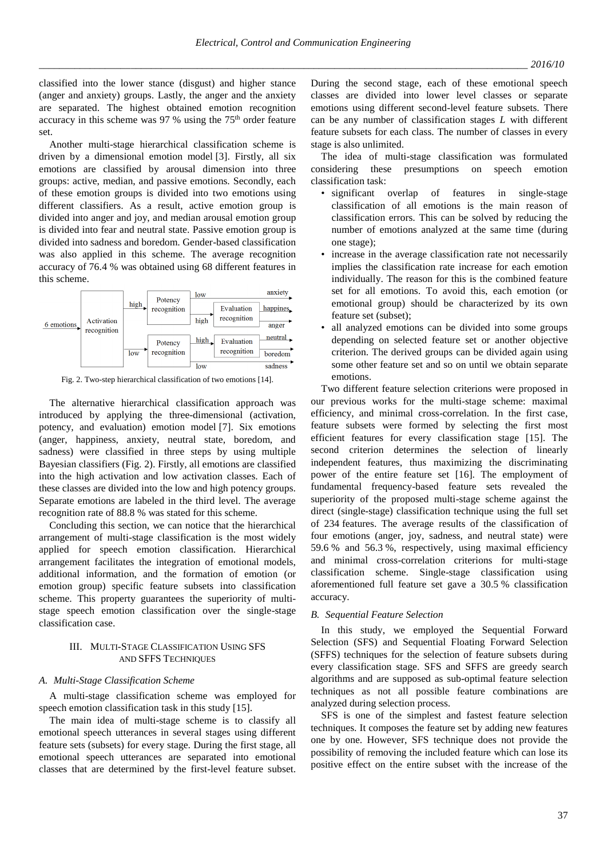classified into the lower stance (disgust) and higher stance (anger and anxiety) groups. Lastly, the anger and the anxiety are separated. The highest obtained emotion recognition accuracy in this scheme was 97 % using the  $75<sup>th</sup>$  order feature set.

Another multi-stage hierarchical classification scheme is driven by a dimensional emotion model [3]. Firstly, all six emotions are classified by arousal dimension into three groups: active, median, and passive emotions. Secondly, each of these emotion groups is divided into two emotions using different classifiers. As a result, active emotion group is divided into anger and joy, and median arousal emotion group is divided into fear and neutral state. Passive emotion group is divided into sadness and boredom. Gender-based classification was also applied in this scheme. The average recognition accuracy of 76.4 % was obtained using 68 different features in this scheme.



Fig. 2. Two-step hierarchical classification of two emotions [14].

The alternative hierarchical classification approach was introduced by applying the three-dimensional (activation, potency, and evaluation) emotion model [7]. Six emotions (anger, happiness, anxiety, neutral state, boredom, and sadness) were classified in three steps by using multiple Bayesian classifiers (Fig. 2). Firstly, all emotions are classified into the high activation and low activation classes. Each of these classes are divided into the low and high potency groups. Separate emotions are labeled in the third level. The average recognition rate of 88.8 % was stated for this scheme.

Concluding this section, we can notice that the hierarchical arrangement of multi-stage classification is the most widely applied for speech emotion classification. Hierarchical arrangement facilitates the integration of emotional models, additional information, and the formation of emotion (or emotion group) specific feature subsets into classification scheme. This property guarantees the superiority of multistage speech emotion classification over the single-stage classification case.

## III. MULTI-STAGE CLASSIFICATION USING SFS AND SFFS TECHNIQUES

#### *A. Multi-Stage Classification Scheme*

A multi-stage classification scheme was employed for speech emotion classification task in this study [15].

The main idea of multi-stage scheme is to classify all emotional speech utterances in several stages using different feature sets (subsets) for every stage. During the first stage, all emotional speech utterances are separated into emotional classes that are determined by the first-level feature subset. During the second stage, each of these emotional speech classes are divided into lower level classes or separate emotions using different second-level feature subsets. There can be any number of classification stages *L* with different feature subsets for each class. The number of classes in every stage is also unlimited.

The idea of multi-stage classification was formulated considering these presumptions on speech emotion classification task:

- significant overlap of features in single-stage classification of all emotions is the main reason of classification errors. This can be solved by reducing the number of emotions analyzed at the same time (during one stage);
- increase in the average classification rate not necessarily implies the classification rate increase for each emotion individually. The reason for this is the combined feature set for all emotions. To avoid this, each emotion (or emotional group) should be characterized by its own feature set (subset);
- all analyzed emotions can be divided into some groups depending on selected feature set or another objective criterion. The derived groups can be divided again using some other feature set and so on until we obtain separate emotions.

Two different feature selection criterions were proposed in our previous works for the multi-stage scheme: maximal efficiency, and minimal cross-correlation. In the first case, feature subsets were formed by selecting the first most efficient features for every classification stage [15]. The second criterion determines the selection of linearly independent features, thus maximizing the discriminating power of the entire feature set [16]. The employment of fundamental frequency-based feature sets revealed the superiority of the proposed multi-stage scheme against the direct (single-stage) classification technique using the full set of 234 features. The average results of the classification of four emotions (anger, joy, sadness, and neutral state) were 59.6 % and 56.3 %, respectively, using maximal efficiency and minimal cross-correlation criterions for multi-stage classification scheme. Single-stage classification using aforementioned full feature set gave a 30.5 % classification accuracy.

#### *B. Sequential Feature Selection*

In this study, we employed the Sequential Forward Selection (SFS) and Sequential Floating Forward Selection (SFFS) techniques for the selection of feature subsets during every classification stage. SFS and SFFS are greedy search algorithms and are supposed as sub-optimal feature selection techniques as not all possible feature combinations are analyzed during selection process.

SFS is one of the simplest and fastest feature selection techniques. It composes the feature set by adding new features one by one. However, SFS technique does not provide the possibility of removing the included feature which can lose its positive effect on the entire subset with the increase of the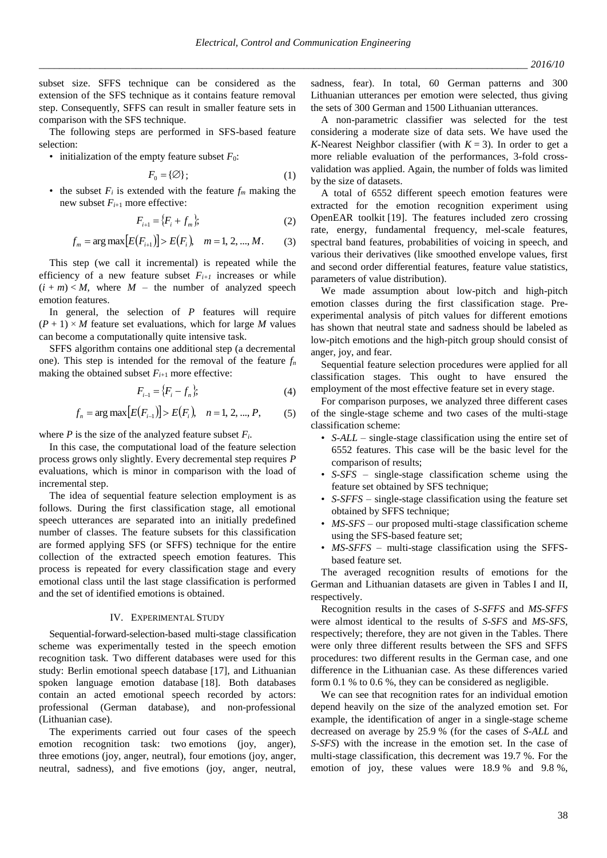subset size. SFFS technique can be considered as the extension of the SFS technique as it contains feature removal step. Consequently, SFFS can result in smaller feature sets in comparison with the SFS technique.

The following steps are performed in SFS-based feature selection:

• initialization of the empty feature subset  $F_0$ :

$$
F_0 = \{ \emptyset \};\tag{1}
$$

• the subset  $F_i$  is extended with the feature  $f_m$  making the new subset *Fi*+1 more effective:

$$
F_{i+1} = \{F_i + f_m\},\tag{2}
$$

$$
f_m = \arg \max [E(F_{i+1})] > E(F_i), \quad m = 1, 2, ..., M.
$$
 (3)

This step (we call it incremental) is repeated while the efficiency of a new feature subset  $F_{i+1}$  increases or while  $(i + m) < M$ , where  $M -$  the number of analyzed speech emotion features.

In general, the selection of *P* features will require  $(P + 1)$  × *M* feature set evaluations, which for large *M* values can become a computationally quite intensive task.

SFFS algorithm contains one additional step (a decremental one). This step is intended for the removal of the feature  $f_n$ making the obtained subset  $F_{i+1}$  more effective:

$$
F_{i-1} = \{F_i - f_n\},\tag{4}
$$

$$
f_n = \arg \max [E(F_{i-1})] > E(F_i), \quad n = 1, 2, ..., P,
$$
 (5)

where *P* is the size of the analyzed feature subset *Fi*.

In this case, the computational load of the feature selection process grows only slightly. Every decremental step requires *P* evaluations, which is minor in comparison with the load of incremental step.

The idea of sequential feature selection employment is as follows. During the first classification stage, all emotional speech utterances are separated into an initially predefined number of classes. The feature subsets for this classification are formed applying SFS (or SFFS) technique for the entire collection of the extracted speech emotion features. This process is repeated for every classification stage and every emotional class until the last stage classification is performed and the set of identified emotions is obtained.

#### IV. EXPERIMENTAL STUDY

Sequential-forward-selection-based multi-stage classification scheme was experimentally tested in the speech emotion recognition task. Two different databases were used for this study: Berlin emotional speech database [17], and Lithuanian spoken language emotion database [18]. Both databases contain an acted emotional speech recorded by actors: professional (German database), and non-professional (Lithuanian case).

The experiments carried out four cases of the speech emotion recognition task: two emotions (joy, anger), three emotions (joy, anger, neutral), four emotions (joy, anger, neutral, sadness), and five emotions (joy, anger, neutral,

sadness, fear). In total, 60 German patterns and 300 Lithuanian utterances per emotion were selected, thus giving the sets of 300 German and 1500 Lithuanian utterances.

A non-parametric classifier was selected for the test considering a moderate size of data sets. We have used the *K*-Nearest Neighbor classifier (with  $K = 3$ ). In order to get a more reliable evaluation of the performances, 3-fold crossvalidation was applied. Again, the number of folds was limited by the size of datasets.

A total of 6552 different speech emotion features were extracted for the emotion recognition experiment using OpenEAR toolkit [19]. The features included zero crossing rate, energy, fundamental frequency, mel-scale features, spectral band features, probabilities of voicing in speech, and various their derivatives (like smoothed envelope values, first and second order differential features, feature value statistics, parameters of value distribution).

We made assumption about low-pitch and high-pitch emotion classes during the first classification stage. Preexperimental analysis of pitch values for different emotions has shown that neutral state and sadness should be labeled as low-pitch emotions and the high-pitch group should consist of anger, joy, and fear.

Sequential feature selection procedures were applied for all classification stages. This ought to have ensured the employment of the most effective feature set in every stage.

For comparison purposes, we analyzed three different cases of the single-stage scheme and two cases of the multi-stage classification scheme:

- *S-ALL* single-stage classification using the entire set of 6552 features. This case will be the basic level for the comparison of results;
- *S-SFS* single-stage classification scheme using the feature set obtained by SFS technique;
- *S-SFFS* single-stage classification using the feature set obtained by SFFS technique;
- *MS*-*SFS* our proposed multi-stage classification scheme using the SFS-based feature set;
- *MS-SFFS* multi-stage classification using the SFFSbased feature set.

The averaged recognition results of emotions for the German and Lithuanian datasets are given in Tables I and II, respectively.

Recognition results in the cases of *S-SFFS* and *MS-SFFS* were almost identical to the results of *S-SFS* and *MS-SFS*, respectively; therefore, they are not given in the Tables. There were only three different results between the SFS and SFFS procedures: two different results in the German case, and one difference in the Lithuanian case. As these differences varied form 0.1 % to 0.6 %, they can be considered as negligible.

We can see that recognition rates for an individual emotion depend heavily on the size of the analyzed emotion set. For example, the identification of anger in a single-stage scheme decreased on average by 25.9 % (for the cases of *S-ALL* and *S-SFS*) with the increase in the emotion set. In the case of multi-stage classification, this decrement was 19.7 %. For the emotion of joy, these values were 18.9 % and 9.8 %,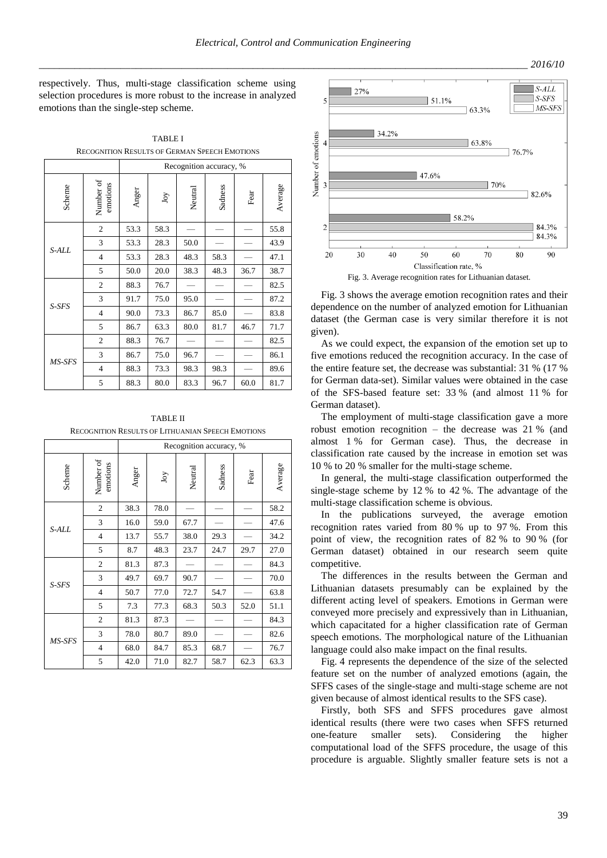respectively. Thus, multi-stage classification scheme using selection procedures is more robust to the increase in analyzed emotions than the single-step scheme.

| <b>TABLE I</b>                                       |  |
|------------------------------------------------------|--|
| <b>RECOGNITION RESULTS OF GERMAN SPEECH EMOTIONS</b> |  |

|        |                       | Recognition accuracy, % |              |         |         |      |         |  |
|--------|-----------------------|-------------------------|--------------|---------|---------|------|---------|--|
| Scheme | Number of<br>emotions | Anger                   | $_{\rm Joy}$ | Neutral | Sadness | Fear | Average |  |
| S-ALL  | $\overline{c}$        | 53.3                    | 58.3         |         |         |      | 55.8    |  |
|        | 3                     | 53.3                    | 28.3         | 50.0    |         |      | 43.9    |  |
|        | $\overline{4}$        | 53.3                    | 28.3         | 48.3    | 58.3    |      | 47.1    |  |
|        | 5                     | 50.0                    | 20.0         | 38.3    | 48.3    | 36.7 | 38.7    |  |
| S-SFS  | $\overline{2}$        | 88.3                    | 76.7         |         |         |      | 82.5    |  |
|        | 3                     | 91.7                    | 75.0         | 95.0    |         |      | 87.2    |  |
|        | $\overline{4}$        | 90.0                    | 73.3         | 86.7    | 85.0    |      | 83.8    |  |
|        | 5                     | 86.7                    | 63.3         | 80.0    | 81.7    | 46.7 | 71.7    |  |
| MS-SFS | $\overline{2}$        | 88.3                    | 76.7         |         |         |      | 82.5    |  |
|        | 3                     | 86.7                    | 75.0         | 96.7    |         |      | 86.1    |  |
|        | $\overline{4}$        | 88.3                    | 73.3         | 98.3    | 98.3    |      | 89.6    |  |
|        | 5                     | 88.3                    | 80.0         | 83.3    | 96.7    | 60.0 | 81.7    |  |

TABLE II RECOGNITION RESULTS OF LITHUANIAN SPEECH EMOTIONS

|        |                       | Recognition accuracy, % |              |         |         |      |         |  |
|--------|-----------------------|-------------------------|--------------|---------|---------|------|---------|--|
| Scheme | Number of<br>emotions | Anger                   | $_{\rm Joy}$ | Neutral | Sadness | Fear | Average |  |
| S-ALL  | $\overline{c}$        | 38.3                    | 78.0         |         |         |      | 58.2    |  |
|        | 3                     | 16.0                    | 59.0         | 67.7    |         |      | 47.6    |  |
|        | $\overline{4}$        | 13.7                    | 55.7         | 38.0    | 29.3    |      | 34.2    |  |
|        | 5                     | 8.7                     | 48.3         | 23.7    | 24.7    | 29.7 | 27.0    |  |
| S-SFS  | $\mathfrak{2}$        | 81.3                    | 87.3         |         |         |      | 84.3    |  |
|        | 3                     | 49.7                    | 69.7         | 90.7    |         |      | 70.0    |  |
|        | $\overline{4}$        | 50.7                    | 77.0         | 72.7    | 54.7    |      | 63.8    |  |
|        | 5                     | 7.3                     | 77.3         | 68.3    | 50.3    | 52.0 | 51.1    |  |
| MS-SFS | $\overline{2}$        | 81.3                    | 87.3         |         |         |      | 84.3    |  |
|        | 3                     | 78.0                    | 80.7         | 89.0    |         |      | 82.6    |  |
|        | $\overline{4}$        | 68.0                    | 84.7         | 85.3    | 68.7    |      | 76.7    |  |
|        | 5                     | 42.0                    | 71.0         | 82.7    | 58.7    | 62.3 | 63.3    |  |



Fig. 3 shows the average emotion recognition rates and their dependence on the number of analyzed emotion for Lithuanian dataset (the German case is very similar therefore it is not given).

As we could expect, the expansion of the emotion set up to five emotions reduced the recognition accuracy. In the case of the entire feature set, the decrease was substantial: 31 % (17 % for German data-set). Similar values were obtained in the case of the SFS-based feature set: 33 % (and almost 11 % for German dataset).

The employment of multi-stage classification gave a more robust emotion recognition – the decrease was 21 % (and almost 1 % for German case). Thus, the decrease in classification rate caused by the increase in emotion set was 10 % to 20 % smaller for the multi-stage scheme.

In general, the multi-stage classification outperformed the single-stage scheme by 12 % to 42 %. The advantage of the multi-stage classification scheme is obvious.

In the publications surveyed, the average emotion recognition rates varied from 80 % up to 97 %. From this point of view, the recognition rates of 82 % to 90 % (for German dataset) obtained in our research seem quite competitive.

The differences in the results between the German and Lithuanian datasets presumably can be explained by the different acting level of speakers. Emotions in German were conveyed more precisely and expressively than in Lithuanian, which capacitated for a higher classification rate of German speech emotions. The morphological nature of the Lithuanian language could also make impact on the final results.

Fig. 4 represents the dependence of the size of the selected feature set on the number of analyzed emotions (again, the SFFS cases of the single-stage and multi-stage scheme are not given because of almost identical results to the SFS case).

Firstly, both SFS and SFFS procedures gave almost identical results (there were two cases when SFFS returned one-feature smaller sets). Considering the higher computational load of the SFFS procedure, the usage of this procedure is arguable. Slightly smaller feature sets is not a

\_\_\_\_\_\_\_\_\_\_\_\_\_\_\_\_\_\_\_\_\_\_\_\_\_\_\_\_\_\_\_\_\_\_\_\_\_\_\_\_\_\_\_\_\_\_\_\_\_\_\_\_\_\_\_\_\_\_\_\_\_\_\_\_\_\_\_\_\_\_\_\_\_\_\_\_\_\_\_\_\_\_\_\_\_\_\_\_\_\_\_\_\_\_\_\_ *2016/10*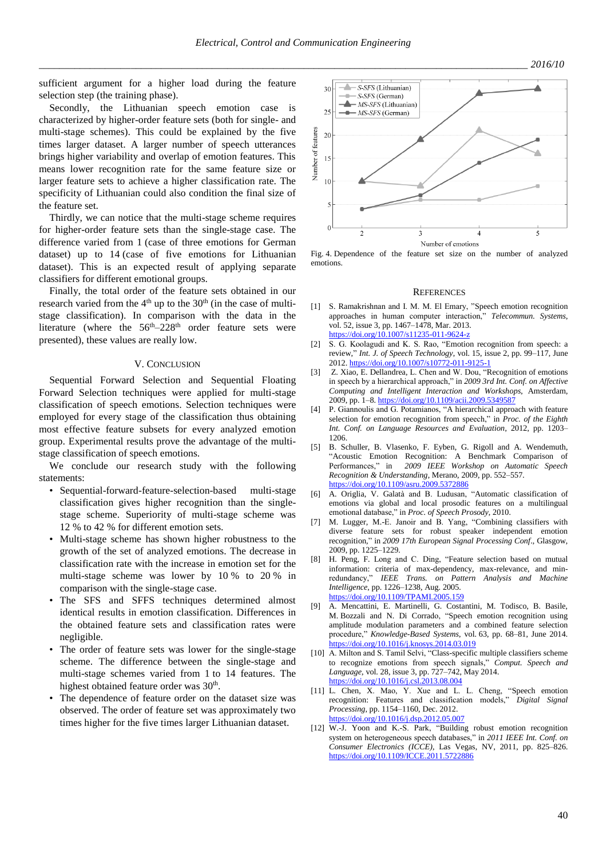sufficient argument for a higher load during the feature selection step (the training phase).

Secondly, the Lithuanian speech emotion case is characterized by higher-order feature sets (both for single- and multi-stage schemes). This could be explained by the five times larger dataset. A larger number of speech utterances brings higher variability and overlap of emotion features. This means lower recognition rate for the same feature size or larger feature sets to achieve a higher classification rate. The specificity of Lithuanian could also condition the final size of the feature set.

Thirdly, we can notice that the multi-stage scheme requires for higher-order feature sets than the single-stage case. The difference varied from 1 (case of three emotions for German dataset) up to 14 (case of five emotions for Lithuanian dataset). This is an expected result of applying separate classifiers for different emotional groups.

Finally, the total order of the feature sets obtained in our research varied from the  $4<sup>th</sup>$  up to the  $30<sup>th</sup>$  (in the case of multistage classification). In comparison with the data in the literature (where the  $56<sup>th</sup>-228<sup>th</sup>$  order feature sets were presented), these values are really low.

## V. CONCLUSION

Sequential Forward Selection and Sequential Floating Forward Selection techniques were applied for multi-stage classification of speech emotions. Selection techniques were employed for every stage of the classification thus obtaining most effective feature subsets for every analyzed emotion group. Experimental results prove the advantage of the multistage classification of speech emotions.

We conclude our research study with the following statements:

- Sequential-forward-feature-selection-based multi-stage classification gives higher recognition than the singlestage scheme. Superiority of multi-stage scheme was 12 % to 42 % for different emotion sets.
- Multi-stage scheme has shown higher robustness to the growth of the set of analyzed emotions. The decrease in classification rate with the increase in emotion set for the multi-stage scheme was lower by 10 % to 20 % in comparison with the single-stage case.
- The SFS and SFFS techniques determined almost identical results in emotion classification. Differences in the obtained feature sets and classification rates were negligible.
- The order of feature sets was lower for the single-stage scheme. The difference between the single-stage and multi-stage schemes varied from 1 to 14 features. The highest obtained feature order was 30<sup>th</sup>.
- The dependence of feature order on the dataset size was observed. The order of feature set was approximately two times higher for the five times larger Lithuanian dataset.



Fig. 4. Dependence of the feature set size on the number of analyzed emotions.

#### **REFERENCES**

- [1] S. Ramakrishnan and I. M. M. El Emary, "Speech emotion recognition approaches in human computer interaction," *Telecommun. Systems*, vol. 52, issue 3, pp. 1467–1478, Mar. 2013. <https://doi.org/10.1007/s11235-011-9624-z>
- [2] S. G. Koolagudi and K. S. Rao, "Emotion recognition from speech: a review," *Int. J. of Speech Technology*, vol. 15, issue 2, pp. 99–117, June 2012. <https://doi.org/10.1007/s10772-011-9125-1>
- [3] Z. Xiao, E. Dellandrea, L. Chen and W. Dou, "Recognition of emotions in speech by a hierarchical approach," in *2009 3rd Int. Conf. on Affective Computing and Intelligent Interaction and Workshops*, Amsterdam, 2009, pp. 1-8. <https://doi.org/10.1109/acii.2009.5349587>
- [4] P. Giannoulis and G. Potamianos, "A hierarchical approach with feature selection for emotion recognition from speech," in *Proc. of the Eighth Int. Conf. on Language Resources and Evaluation*, 2012, pp. 1203– 1206.
- [5] B. Schuller, B. Vlasenko, F. Eyben, G. Rigoll and A. Wendemuth, "Acoustic Emotion Recognition: A Benchmark Comparison of Performances," in *2009 IEEE Workshop on Automatic Speech Recognition & Understanding*, Merano, 2009, pp. 552–557. <https://doi.org/10.1109/asru.2009.5372886>
- [6] A. Origlia, V. Galatà and B. Ludusan, "Automatic classification of emotions via global and local prosodic features on a multilingual emotional database," in *Proc. of Speech Prosody*, 2010.
- [7] M. Lugger, M.-E. Janoir and B. Yang, "Combining classifiers with diverse feature sets for robust speaker independent emotion recognition," in *2009 17th European Signal Processing Conf*., Glasgow, 2009, pp. 1225–1229.
- [8] H. Peng, F. Long and C. Ding, "Feature selection based on mutual information: criteria of max-dependency, max-relevance, and minredundancy," *IEEE Trans. on Pattern Analysis and Machine Intelligence*, pp. 1226–1238, Aug. 2005. <https://doi.org/10.1109/TPAMI.2005.159>
- [9] A. Mencattini, E. Martinelli, G. Costantini, M. Todisco, B. Basile, M. Bozzali and N. Di Corrado, "Speech emotion recognition using amplitude modulation parameters and a combined feature selection procedure," *Knowledge-Based Systems*, vol. 63, pp. 68–81, June 2014. <https://doi.org/10.1016/j.knosys.2014.03.019>
- [10] A. Milton and S. Tamil Selvi, "Class-specific multiple classifiers scheme to recognize emotions from speech signals," *Comput. Speech and Language*, vol. 28, issue 3, pp. 727–742, May 2014. <https://doi.org/10.1016/j.csl.2013.08.004>
- [11] L. Chen, X. Mao, Y. Xue and L. L. Cheng, "Speech emotion recognition: Features and classification models," *Digital Signal Processing*, pp. 1154–1160, Dec. 2012. <https://doi.org/10.1016/j.dsp.2012.05.007>
- [12] W.-J. Yoon and K.-S. Park, "Building robust emotion recognition system on heterogeneous speech databases," in *2011 IEEE Int. Conf. on Consumer Electronics (ICCE)*, Las Vegas, NV, 2011, pp. 825–826. <https://doi.org/10.1109/ICCE.2011.5722886>